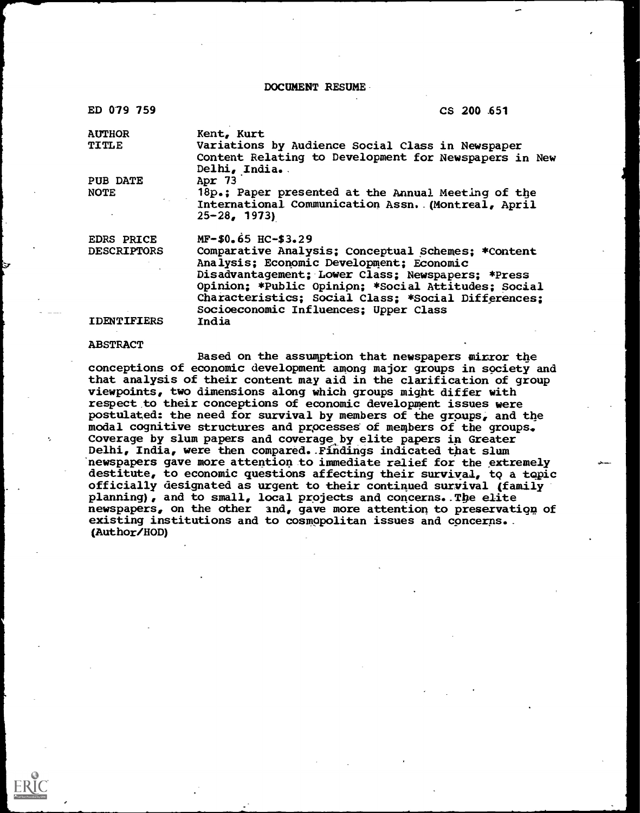DOCUMENT RESUME

| ED 079 759         | CS 200 651                                                                                                                                                                                                                                                                                                 |
|--------------------|------------------------------------------------------------------------------------------------------------------------------------------------------------------------------------------------------------------------------------------------------------------------------------------------------------|
| <b>AUTHOR</b>      | Kent, Kurt                                                                                                                                                                                                                                                                                                 |
| TITLE              | Variations by Audience Social Class in Newspaper<br>Content Relating to Development for Newspapers in New<br>Delhi, India.                                                                                                                                                                                 |
| <b>PUB DATE</b>    | Apr $73$                                                                                                                                                                                                                                                                                                   |
| <b>NOTE</b>        | 18p.; Paper presented at the Annual Meeting of the                                                                                                                                                                                                                                                         |
|                    | International Communication Assn. (Montreal, April<br>$25 - 28$ , 1973)                                                                                                                                                                                                                                    |
| <b>EDRS PRICE</b>  | $MF-$0.65$ HC-\$3.29                                                                                                                                                                                                                                                                                       |
| <b>DESCRIPTORS</b> | Comparative Analysis; Conceptual Schemes; *Content<br>Analysis; Economic Development; Economic<br>Disadvantagement; Lower Class; Newspapers; *Press<br>Opinion; *Public Opinion; *Social Attitudes; Social<br>Characteristics; Social Class; *Social Differences;<br>Socioeconomic Influences; Upper Class |
| <b>IDENTIFIERS</b> | India                                                                                                                                                                                                                                                                                                      |

#### ABSTRACT

Based on the assumption that newspapers mirror the conceptions of economic development among major groups in society and that analysis of their content may aid in the clarification of group viewpoints, two dimensions along which groups might differ with respect to their conceptions of economic development issues were postulated: the need for survival by members of the groups, and the modal cognitive structures and processes of members of the groups. Coverage by slum papers and coverage by elite papers in Greater Delhi, India, were then compared..Findings indicated that slum 'newspapers gave more attention to immediate relief for the extremely destitute, to economic questions affecting their survival, to a topic officially designated as urgent to their continued survival (family planning), and to small, local projects and concerns. The elite newspapers, on the other and, gave more attention to preservation of existing institutions and to cosmopolitan issues and concerns.. (Author /HOD)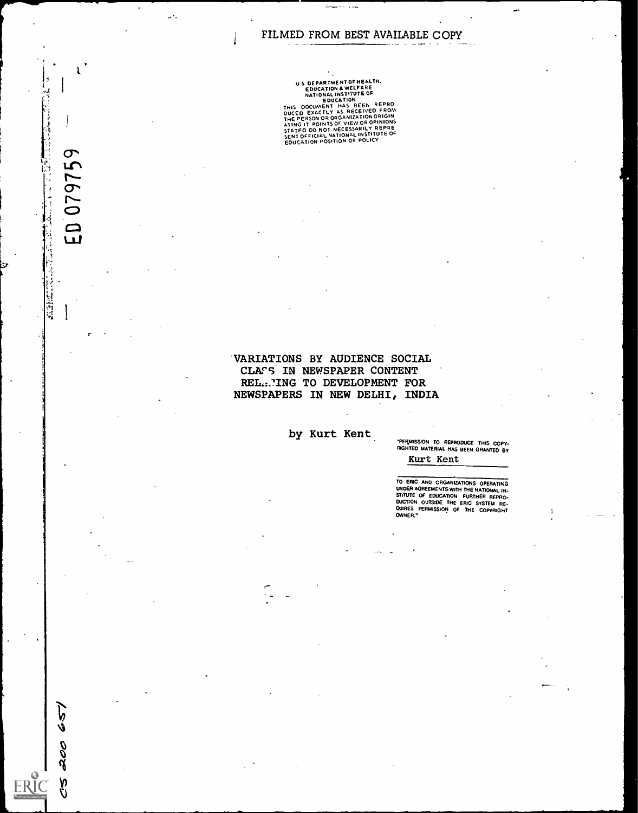$\mathcal{F}_\lambda$ 

 $\ddot{\lambda}$ . . . . . .

 $\mathbf{a}^{\mathbf{A}}$ 

r

ED 079759

Ų **ALTE** 

657

200

v<br>V

**ERI** 

US DEPARTMENT INTERNATION AND EDUCATION ANCELERE<br>
NATIONAL INSTITUTE OF<br>
NATIONAL INSTITUTE<br>
THIS DOCUMENT HAS BEEN REPRO<br>
DUCED EXACTLY AS RECEIVED FROM<br>
ATING IT POINTS OF VIEW OR OPINIONS<br>
STATED DO NOT NECESSARILY REPR

## 'VARIATIONS BY AUDIENCE SOCIAL CLASS IN NEWSPAPER CONTENT REL.:. ING TO DEVELOPMENT FOR NEWSPAPERS IN NEW DELHI, INDIA

by Kurt Kent

'PERMISSION TO REPRODUCE THIS COPY- RIGHTED MATERIAL HAS BEEN GRANTED BY Kurt Kent

TO ERIC AND ORGANIZATIONS OPERATING<br>UNOER AGREEMENTS WITH THE NATIONAL IN.<br>STITUTE OF EDUCATION FURTHER REPRO.<br>OUCTION OUTSIDE THE ERIC SYSTEM RE.<br>CURES PERMISSION OF THE COPYRIGHT<br>OWNER,"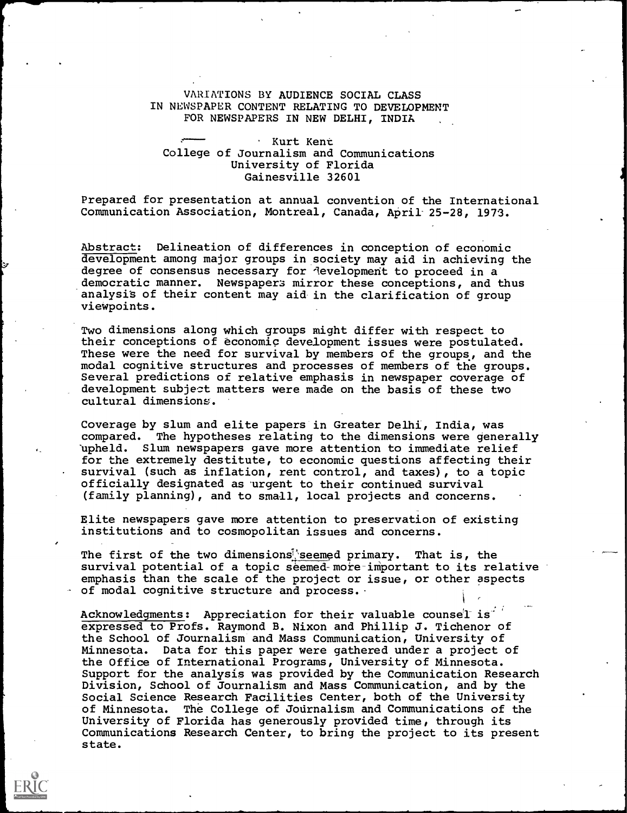## VARIATIONS BY AUDIENCE SOCIAL CLASS IN NEWSPAPER CONTENT RELATING TO DEVELOPMENT FOR NEWSPAPERS IN NEW DELHI, INDIA

## Kurt Kent College of Journalism and Communications University of Florida Gainesville 32601

Prepared for presentation at annual convention of the International Communication Association, Montreal, Canada, April 25-28, 1973.

Abstract: Delineation of differences in conception of economic development among major groups in society may aid in achieving the degree of consensus necessary for development to proceed in a democratic manner. Newspapers mirror these conceptions, and thus analysis of their content may aid in the clarification of group viewpoints.

Two dimensions along which groups might differ with respect to their conceptions of economic development issues were postulated. These were the need for survival by members of the groups, and the modal cognitive structures and processes of members of the groups. Several predictions of relative emphasis in newspaper coverage of development subject matters were made on the basis of these two cultural dimensions.

Coverage by slum and elite papers in Greater Delhi, India, was<br>compared. The hypotheses relating to the dimensions were genest The hypotheses relating to the dimensions were generally `upheld. Slum newspapers gave more attention to immediate relief for the extremely destitute, to economic questions affecting their survival (such as inflation, rent control, and taxes), to a topic officially designated as urgent to their continued survival (family planning), and to small, local projects and concerns.

Elite newspapers gave more attention to preservation of existing institutions and to cosmopolitan issues and concerns.

The first of the two dimensions seemed primary. That is, the survival potential of a topic seemed-more-important to its relative emphasis than the scale of the project or issue, or other aspects of modal cognitive structure and process.

Acknowledgments: Appreciation for their valuable counsel is expressed to Profs. Raymond B. Nixon and Phillip J. Tichenor of the School of Journalism and Mass Communication, University of Minnesota. Data for this paper were gathered under a project of the Office of International Programs, University of Minnesota. Support for the analysis was provided by the Communication Research Division, School of Journalism and Mass Communication, and by the Social Science Research Facilities Center, both of the University of Minnesota. The College of Journalism and Communications of the University of Florida has generously provided time, through its Communications Research Center, to bring the project to its present state.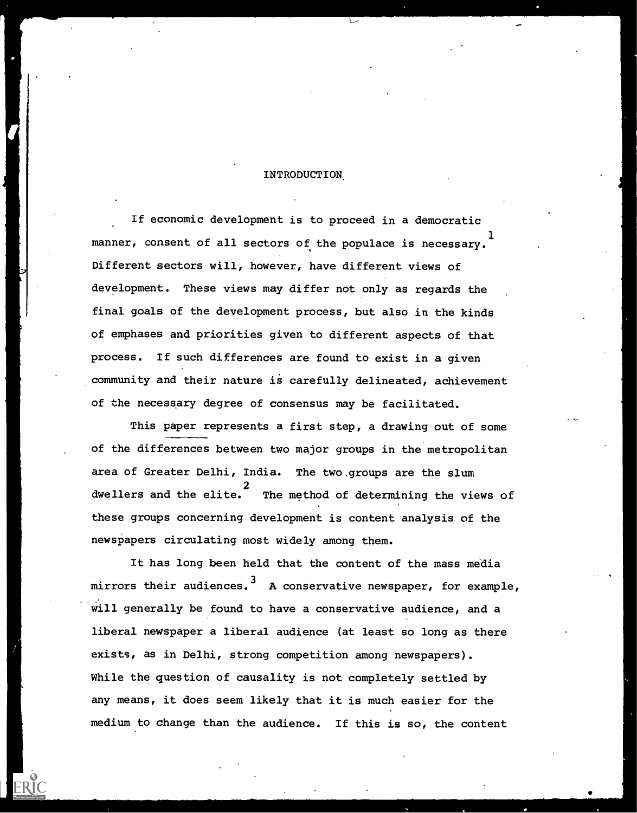## INTRODUCTION.

OM.

If economic development is to proceed in a democratic manner, consent of all sectors of the populace is necessary. Different sectors will, however, have different views of  $\blacksquare$ development. These views may differ not only as regards the final goals of the development process, but also in the kinds of emphases and priorities given to different aspects of that process. If such differences are found to exist in a given community and their nature is carefully delineated, achievement of the necessary degree of consensus may be facilitated.

This paper represents a first step, a drawing out of some of the differences between two major groups in the metropolitan area of Greater Delhi, India. The two.groups are the slum 2 dwellers and the elite. The method of determining the views of these groups concerning development is content analysis of the newspapers circulating most widely among them.

It has long been held that the content of the mass media mirrors their audiences.<sup>3</sup> A conservative newspaper, for example, will generally be found to have a conservative audience, and a liberal newspaper a liberal audience (at least so long as there exists, as in Delhi, strong competition among newspapers). While the question of causality is not completely settled by any means, it does seem likely that it is much easier for the medium to change than the audience. If this is so, the content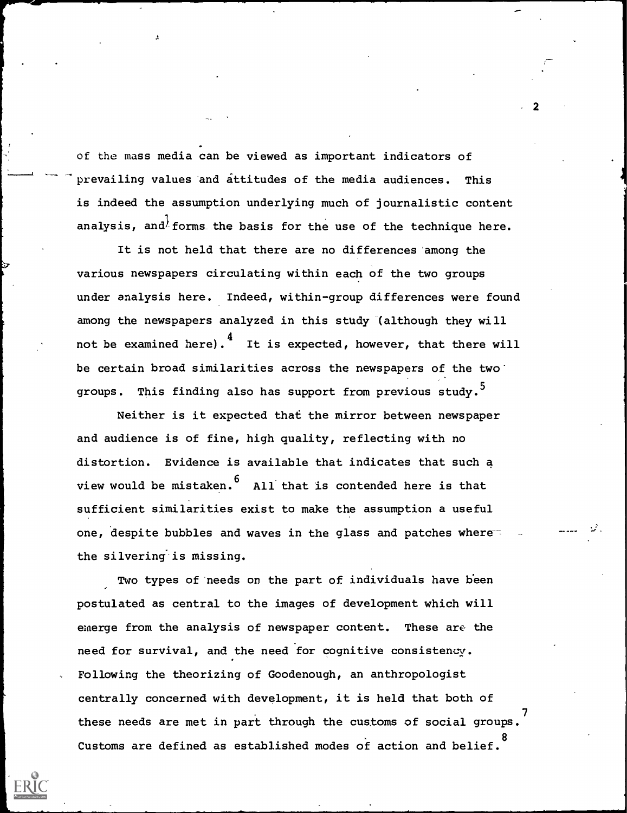of the mass media can be viewed as important indicators of prevailing values and attitudes of the media audiences. This is indeed the assumption underlying much of journalistic content analysis, and forms the basis for the use of the technique here.

It is not held that there are no differences among the various newspapers circulating within each of the two groups under analysis here. Indeed, within-group differences were found among the newspapers analyzed in this study (although they will not be examined here). $4\atop\!}$  It is expected, however, that there will be certain broad similarities across the newspapers of the two groups. This finding also has support from previous study.<sup>5</sup>

Neither is it expected that the mirror between newspaper and audience is of fine, high quality, reflecting with no distortion. Evidence is available that indicates that such a view would be mistaken.  $6$  All that is contended here is that sufficient similarities exist to make the assumption a useful one, despite bubbles and waves in the glass and patches where the silvering is missing.

Two types of needs on the part of individuals have been postulated as central to the images of development which will emerge from the analysis of newspaper content. These are the need for survival, and the need for cognitive consistency. Following the theorizing of Goodenough, an anthropologist centrally concerned with development, it is held that both of these needs are met in part through the customs of social groups. Customs are defined as established modes of action and belief. 8

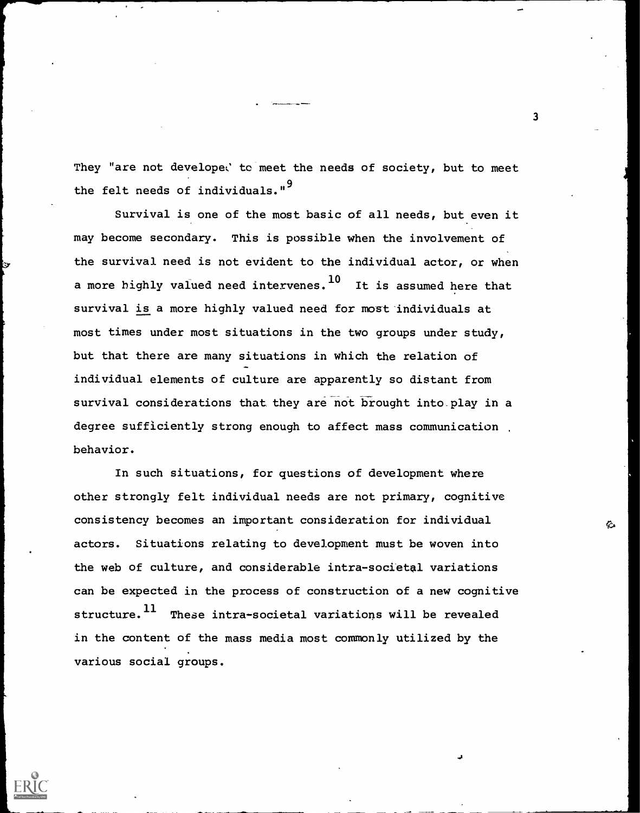They "are not developed to meet the needs of society, but to meet the felt needs of individuals."<sup>9</sup>

Survival is one of the most basic of all needs, but even it may become secondary. This is possible when the involvement of the survival need is not evident to the individual actor, or when a more highly valued need intervenes.  $^{10}$  It is assumed here that survival is a more highly valued need for most individuals at most times under most situations in the two groups under study, but that there are many situations in which the relation of individual elements of culture are apparently so distant from survival considerations that they are not brought into play in a degree sufficiently strong enough to affect mass communication behavior.

In such situations, for questions of development where other strongly felt individual needs are not primary, cognitive consistency becomes an important consideration for individual actors. Situations relating to development must be woven into the web of culture, and considerable intra-societal variations can be expected in the process of construction of a new cognitive structure.<sup>11</sup> These intra-societal variations will be revealed in the content of the mass media most commonly utilized by the various social groups.

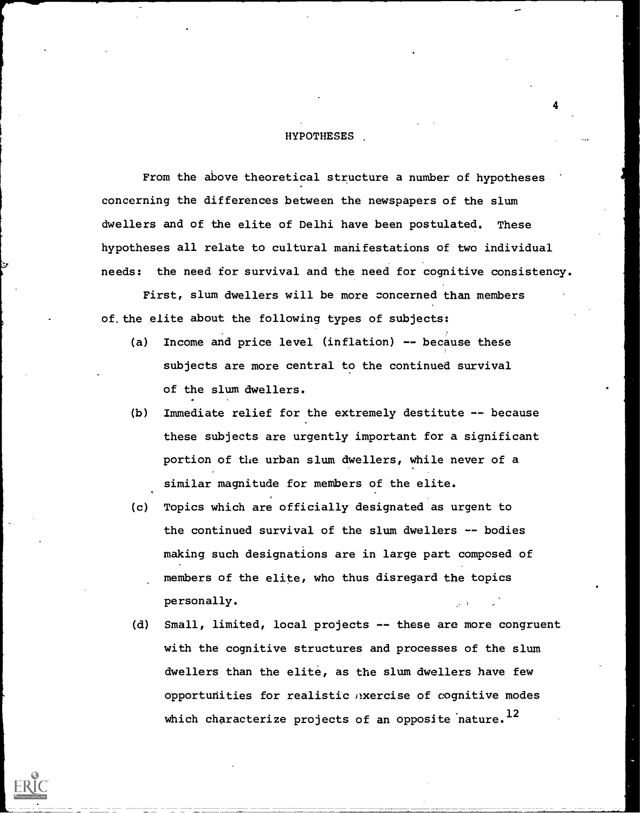### **HYPOTHESES**

From the above theoretical structure a number of hypotheses concerning the differences between the newspapers of the slum dwellers and of the elite of Delhi have been postulated. These hypotheses all relate to cultural manifestations of two individual needs: the need for survival and the need for cognitive consistency.

First, slum dwellers will be more concerned than members of. the elite about the following types of subjects:

- (a) Income and price level (inflation) -- because these subjects are more central to the continued survival of the slum dwellers.
- (b) Immediate relief for the extremely destitute -- because these subjects are urgently important for a significant portion of the urban slum dwellers, while never of a similar magnitude for members of the elite.
- (c) Topics which are officially designated as urgent to the continued survival of the slum dwellers -- bodies making such designations are in large part composed of members of the elite, who thus disregard the topics personally.
- (d) Small, limited, local projects -- these are more congruent with the cognitive structures and processes of the slum dwellers than the elite, as the slum dwellers have few opportunities for realistic exercise of cognitive modes which characterize projects of an opposite nature.<sup>12</sup>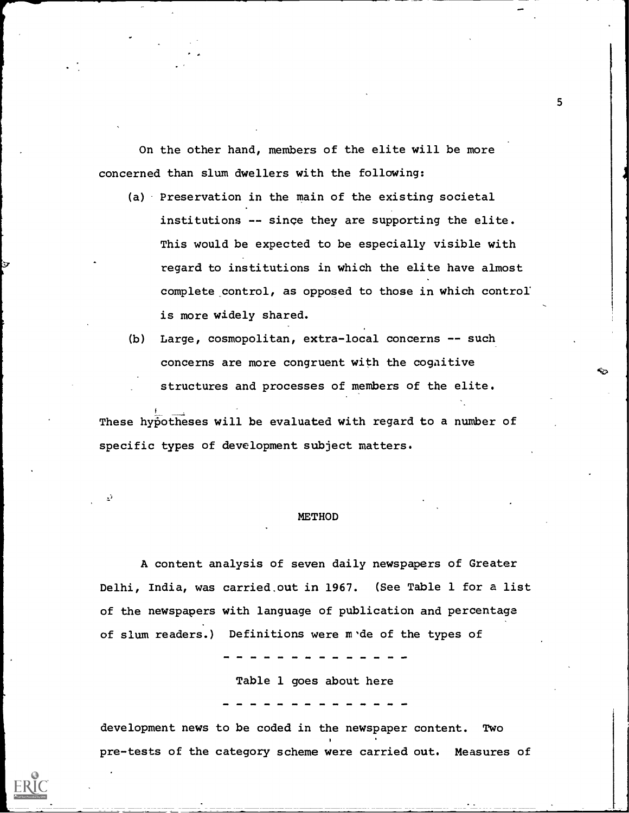On the other hand, members of the elite will be more concerned than slum dwellers with the following:

- (a) Preservation in the main of the existing societal institutions -- since they are supporting the elite. This would be expected to be especially visible with regard to institutions in which the elite have almost complete\_ control, as opposed to those in which control' is more widely shared.
- (b) Large, cosmopolitan, extra-local concerns -- such concerns are more congruent with the cogaitive structures and processes of members of the elite.

These hypotheses will be evaluated with regard to a number of specific types of development subject matters.

#### **METHOD**

A content analysis of seven daily newspapers of Greater Delhi, India, was carried out in 1967. (See Table 1 for a list of the newspapers with language of publication and percentage of slum readers.) Definitions were m de of the types of

Table 1 goes about here

development news to be coded in the newspaper content. Two pre-tests of the category scheme were carried out. Measures of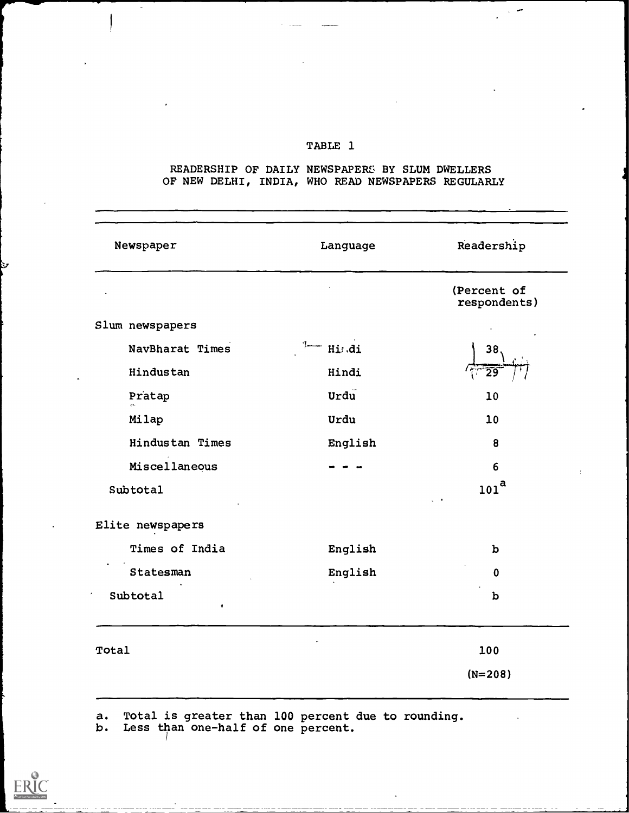## TABLE 1

## READERSHIP OF DAILY NEWSPAPERS BY SLUM DWELLERS OF NEW DELHI, INDIA, WHO READ NEWSPAPERS REGULARLY

| Newspaper                   | Language | Readership                  |
|-----------------------------|----------|-----------------------------|
|                             |          | (Percent of<br>respondents) |
| Slum newspapers             |          |                             |
| NavBharat Times             | Hi;.di   | 38                          |
| Hindustan                   | Hindi    | $\overline{29}$             |
| Pratap                      | Urdu     | 10                          |
| Milap                       | Urdu     | 10                          |
| Hindustan Times             | English  | 8                           |
| Miscellaneous               |          | 6                           |
| Subtotal                    |          | 101 <sup>a</sup>            |
| Elite newspapers            |          |                             |
| Times of India              | English  | b                           |
| Statesman                   | English  | $\mathbf 0$                 |
| Subtotal<br>$\pmb{\hat{a}}$ |          | $\mathbf b$                 |
| Total                       |          | 100                         |
|                             |          | $(N=208)$                   |
|                             |          |                             |

a. Total is greater than 100 percent due to rounding.

b. Less than one-half of one percent.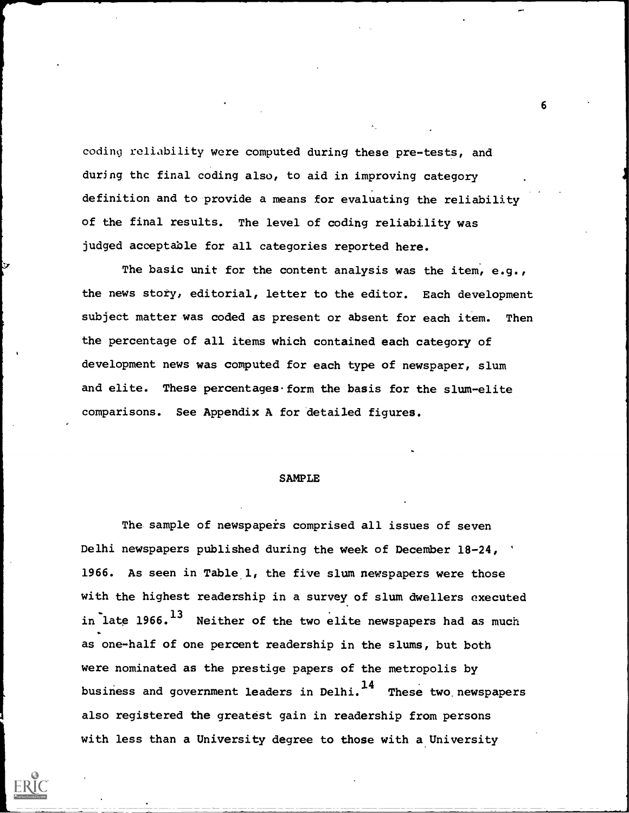coding reliability were computed during these pre-tests, and during the final coding also, to aid in improving category definition and to provide a means for evaluating the reliability of the final results. The level of coding reliability was judged acceptable for all categories reported here.

The basic unit for the content analysis was the item, e.g., the news story, editorial, letter to the editor. Each development subject matter was coded as present or absent for each item. Then the percentage of all items which contained each category of development news was computed for each type of newspaper, slum and elite. These percentages form the basis for the slum-elite comparisons. See Appendix A for detailed figures.

## SAMPLE

The sample of newspapers comprised all issues of seven Delhi newspapers published during the week of December 18-24, ' 1966. As seen in Table 1, the five slum newspapers were those with the highest readership in a survey of slum dwellers executed in late  $1966.$ <sup>13</sup> Neither of the two elite newspapers had as much as one-half of one percent readership in the slums, but both were nominated as the prestige papers of the metropolis by business and government leaders in Delhi.<sup>14</sup> These two newspapers also registered the greatest gain in readership from persons with less than a University degree to those with a University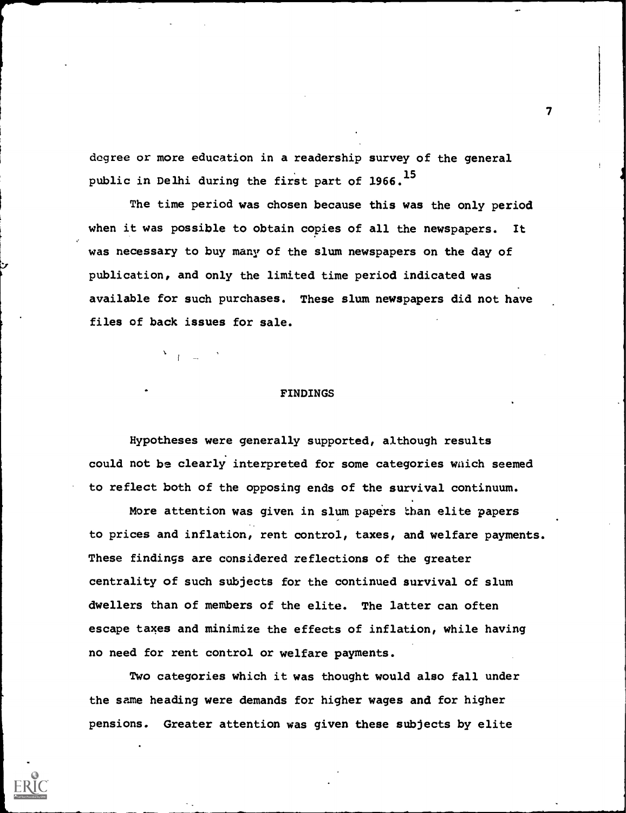degree or more education in a readership survey of the general public in Delhi during the first part of 1966.<sup>15</sup>

The time period was chosen because this was the only period when it was possible to obtain copies of all the newspapers. It was necessary to buy many of the slum newspapers on the day of publication, and only the limited time period indicated was available for such purchases. These slum newspapers did not have files of back issues for sale.

## FINDINGS

Hypotheses were generally supported, although results could not be clearly interpreted for some categories wnich seemed to reflect both of the opposing ends of the survival continuum.

More attention was given in slum papers than elite papers to prices and inflation, rent control, taxes, and welfare payments. These findings are considered reflections of the greater centrality of such subjects for the continued survival of slum dwellers than of members of the elite. The latter can often escape taxes and minimize the effects of inflation, while having no need for rent control or welfare payments.

Two categories which it was thought would also fall under the same heading were demands for higher wages and for higher pensions. Greater attention was given these subjects by elite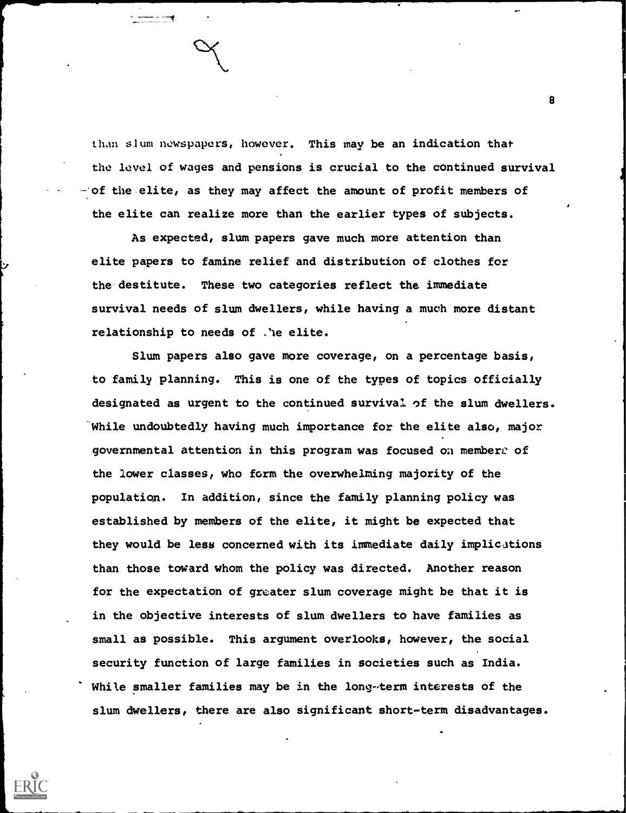than slum newspapers, however. This may be an indication that the level of wages and pensions is crucial to the continued survival -:of the elite, as they may affect the amount of profit members of the elite can realize more than the earlier types of subjects.

As expected, slum papers gave much more attention than elite papers to famine relief and distribution of clothes for the destitute. These two categories reflect the immediate survival needs of slum dwellers, while having a much more distant relationship to needs of .'he elite.

Slum papers also gave more coverage, on a percentage basis, to family planning. This is one of the types of topics officially designated as urgent to the continued survival of the slum dwellers. While undoubtedly having much importance for the elite also, major governmental attention in this program was focused oa membere of the lower classes, who form the overwhelming majority of the population. In addition, since the family planning policy was established by members of the elite, it might be expected that they would be less concerned with its immediate daily implications than those toward whom the policy was directed. Another reason for the expectation of greater slum coverage might be that it is in the objective interests of slum dwellers to have families as small as possible. This argument overlooks, however, the social security function of large families in societies such as India. While smaller families may be in the long-term interests of the slum dwellers, there are also significant short-term disadvantages.

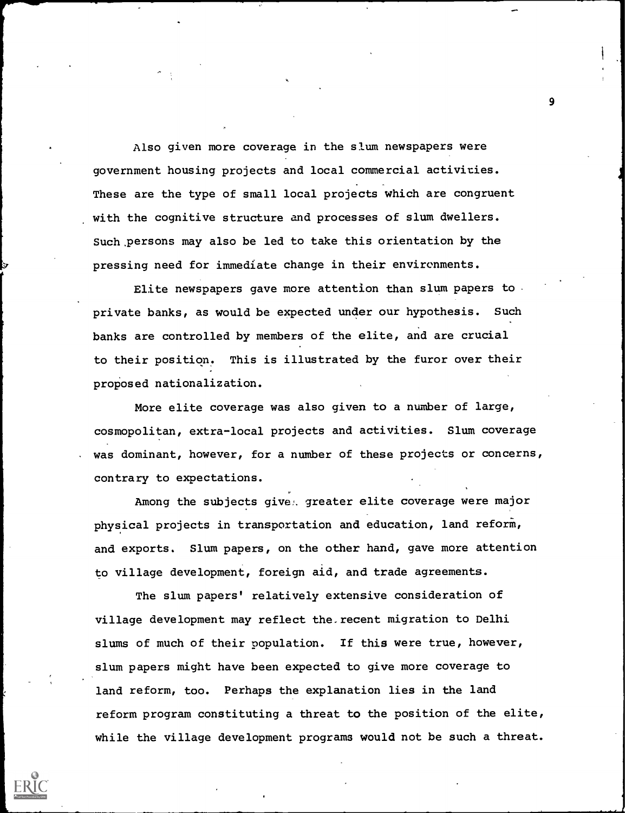Also given more coverage in the slum newspapers were government housing projects and local commercial activities. These are the type of small local projects which are congruent with the cognitive structure and processes of slum dwellers. Such persons may also be led to take this orientation by the pressing need for immediate change in their environments.

Elite newspapers gave more attention than slum papers to private banks, as would be expected under our hypothesis. Such banks are controlled by members of the elite, and are crucial to their position. This is illustrated by the furor over their proposed nationalization.

More elite coverage was also given to a number of large, cosmopolitan, extra-local projects and activities. Slum coverage was dominant, however, for a number of these projects or concerns, contrary to expectations.

Among the subjects give. greater elite coverage were major physical projects in transportation and education, land reform, and exports. Slum papers, on the other hand, gave more attention to village development, foreign aid, and trade agreements.

The slum papers' relatively extensive consideration of village development may reflect the. recent migration to Delhi slums of much of their population. If this were true, however, slum papers might have been expected to give more coverage to land reform, too. Perhaps the explanation lies in the land reform program constituting a threat to the position of the elite, while the village development programs would not be such a threat.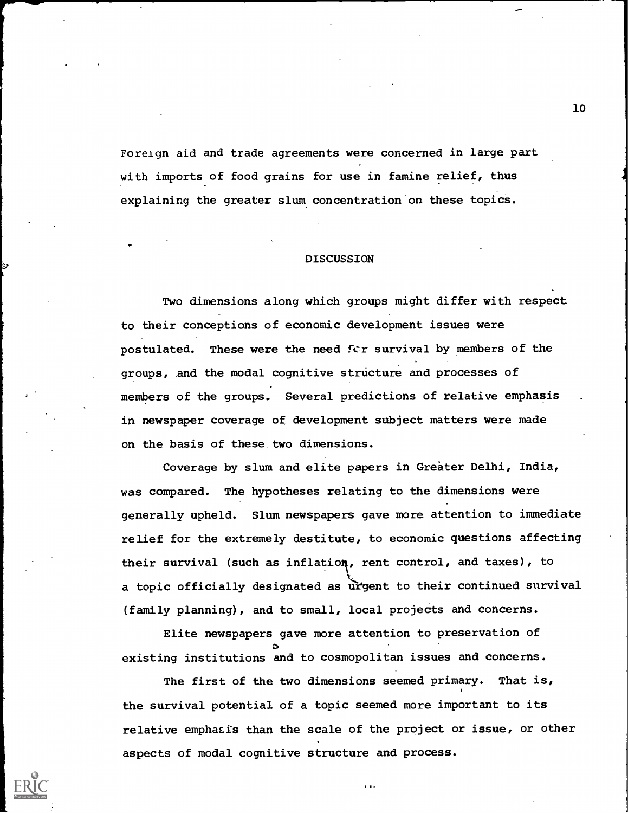Foreign aid and trade agreements were concerned in large part with imports of food grains for use in famine relief, thus explaining the greater slum concentration on these topics.

## DISCUSSION

Two dimensions along which groups might differ with respect . to their conceptions of economic development issues were postulated. These were the need for survival by members of the groups, and the modal cognitive structure and processes of members of the groups. Several predictions of relative emphasis in newspaper coverage of development subject matters were made on the basis of these two dimensions.

Coverage by slum and elite papers in Greater Delhi, India, was compared. The hypotheses relating to the dimensions were generally upheld. Slum newspapers gave more attention to immediate relief for the extremely destitute, to economic questions affecting their survival (such as inflation, rent control, and taxes), to a topic officially designated as urgent to their continued survival (family planning), and to small, local projects and concerns.

Elite newspapers gave more attention to preservation of existing institutions and to cosmopolitan issues and concerns.

The first of the two dimensions seemed primary. That is, the survival potential of a topic seemed more important to its relative emphasis than the scale of the project or issue, or other aspects of modal cognitive structure and process.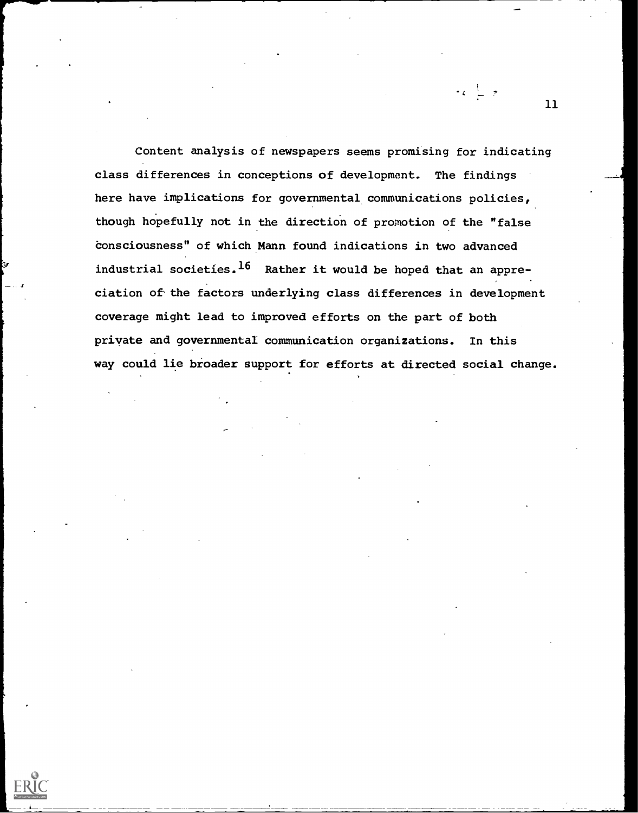Content analysis of newspapers seems promising for indicating class differences in conceptions of development. The findings here have implications for governmental communications policies, though hopefully not in the direction of promotion of the "false consciousness" of which Mann found indications in two advanced industrial societies.<sup>16</sup> Rather it would be hoped that an appreciation of the factors underlying class differences in development coverage might lead to improved efforts on the part of both private and governmental communication organizations. In this way could lie broader support for efforts at directed social change.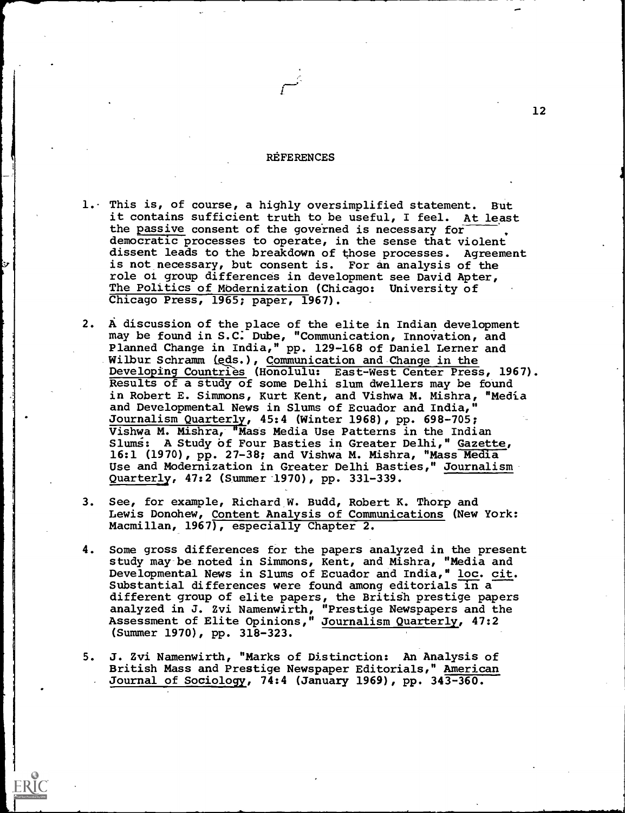#### **REFERENCES**

- 1. This is, of course, a highly oversimplified statement. But it contains sufficient truth to be useful, I feel. At least the passive consent of the governed is necessary for democratic processes to operate, in the sense that violent dissent leads to the breakdown of those processes. Agreement is not necessary, but consent is. For an analysis of the role of group differences in development see David Apter, The Politics of Modernization (Chicago: University of Chicago Press, 1965; paper, 1967).
- 2. A discussion of the place of the elite in Indian development may be found in S.C. Dube, "Communication, Innovation, and Planned Change in India," pp. 129-168 of Daniel Lerner and Wilbur Schramm (eds.) , Communication and Change in the Developing Countries (Honolulu: East-West Center Press, 1967). Results of a study of some Delhi slum dwellers may be found in Robert E. Simmons, Kurt Kent, and Vishwa M. Mishra, "Media and Developmental News in Slums of Ecuador and India," Journalism Quarterly, 45:4 (Winter 1968), pp. 698-705; Vishwa M. Mishra, "Mass Media Use Patterns in the Indian Slums: A Study of Four Basties in Greater Delhi," Gazette, 16:1 (1970), pp. 27-38; and Vishwa M. Mishra, "Mass Media Use and Modernization in Greater Delhi Basties," Journalism Quarterly, 47:2 (Summer-1970), pp. 331-339.
- 3. See, for example, Richard W. Budd, Robert K. Thorp and Lewis Donohew, Content Analysis of Communications (New York: Macmillan, 1967), especially Chapter 2.
- 4. Some gross differences for the papers analyzed in the present study may be noted in Simmons, Kent, and Mishra, "Media and Developmental News in Slums of Ecuador and India," loc. cit. Substantial differences were found among editorials in a different group of elite papers, the British prestige papers analyzed in J. Zvi Namenwirth, "Prestige Newspapers and the Assessment of Elite Opinions," Journalism Quarterly, 47:2 (Summer 1970), pp. 318-323.
- 5. J. Zvi Namenwirth, "Marks of Distinction: An Analysis of British Mass and Prestige Newspaper Editorials," American Journal of Sociology, 74:4 (January 1969), pp. 343-360.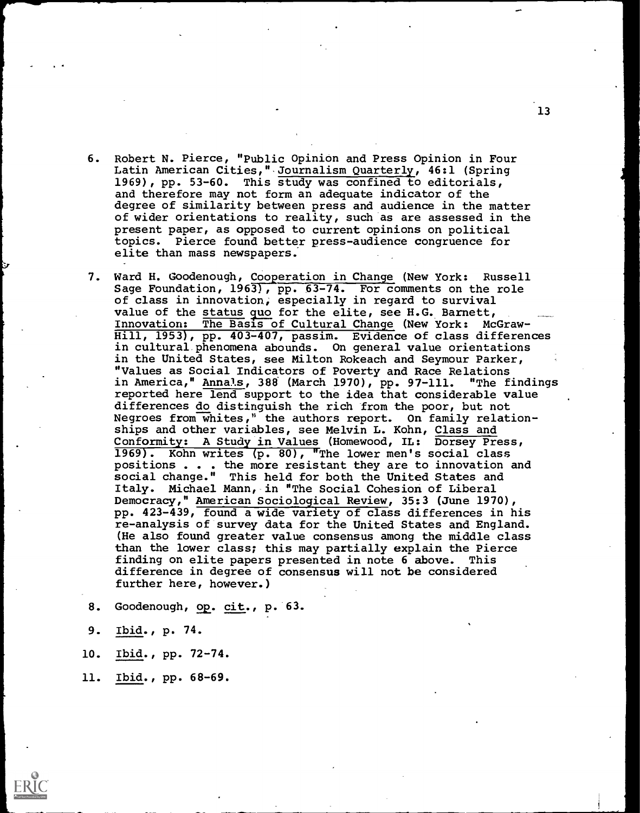- 6. Robert N. Pierce, "Public Opinion and Press Opinion in Four Latin American Cities,"Journalism Quarterly, 46:1 (Spring 1969), pp. 53-60. This study was confined to editorials, and therefore may not form an adequate indicator of the degree of similarity between press and audience in the matter of wider orientations to reality, such as are assessed in the present paper, as opposed to current opinions on political topics. Pierce found better press-audience congruence for elite than mass newspapers.
- 7. Ward H. Goodenough, Cooperation in Change (New York: Russell Sage Foundation, 1963), pp. 63-74. For comments on the role of class in innovation, especially in regard to survival value of the status quo for the elite, see H.G. Barnett, Innovation: The Basis of Cultural Change (New York: McGraw-Hill, 1953), pp. 403-407, passim. Evidence of class differences in cultural phenomena abounds. On general value orientations in the United States, see Milton Rokeach and Seymour Parker, "Values as Social Indicators of Poverty and Race Relations<br>in America," Annals, 388 (March 1970), pp. 97-111. "The findings in America," Annals, 388 (March 1970), pp. 97-111. reported here lend support to the idea that considerable value differences do distinguish the rich from the poor, but not Negroes from whites," the authors report. On family relationships and other variables, see Melvin L. Kohn, Class and Conformity: A Study in Values (Homewood, IL: Dorsey Press, 1969). Kohn writes (p. 80), "The lower men's social class positions . . . the more resistant they are to innovation and social change." This held for both the United States and Italy. Michael Mann, in "The Social Cohesion of Liberal Democracy," American Sociological Review, 35:3 (June 1970), pp. 423-439, found a wide variety of class differences in his re-analysis of survey data for the United States and England. (He also found greater value consensus among the middle class than the lower class; this may partially explain the Pierce finding on elite papers presented in note 6 above. This difference in degree of consensus will not be considered further here, however.)

8. Goodenough, op. cit., p. 63.

- 9. Ibid., p. 74.
- 10. Ibid., pp. 72-74.
- 11. Ibid., pp. 68-69.

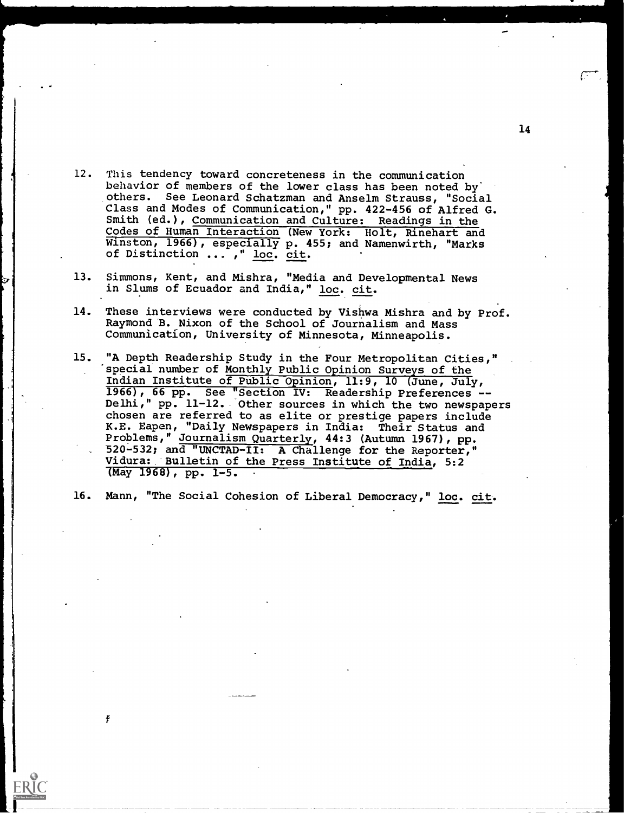- 12. This tendency toward concreteness in the communication behavior of members of the lower class has been noted by others. See Leonard Schatzman and Anselm Strauss, "Social Class and Modes of Communication," pp. 422-456 of Alfred G. Smith (ed.), Communication and Culture: Readings in the Codes of Human Interaction (New York: Holt, Rinehart and Winston, 1966), especially p. 455; and Namenwirth, "Marks of Distinction ... ," loc. cit.
- 13. Simmons, Kent, and Mishra, "Media and Developmental News in Slums of Ecuador and India," loc. cit.
- 14. These interviews were conducted by Vishwa Mishra and by Prof. Raymond B. Nixon of the School of Journalism and Mass Communication, University of Minnesota, Minneapolis.
- 15. "A Depth Readership Study in the Four Metropolitan Cities," special number of Monthly Public Opinion Surveys of the Indian Institute of Public Opinion, 11:9, 10 (June, July, 1966), 66 pp. See "Section IV: Readership Preferences -- Delhi," pp. 11-12. Other sources in which the two newspapers chosen are referred to as elite or prestige papers include K.E. Eapen, "Daily Newspapers in India: Their Status and Problems," Journalism Quarterly, 44:3 (Autumn 1967), pp. 520-532; and "UNCTAD-II: A Challenge for the Reporter," Vidura: Bulletin of the Press Institute of India, 5:2 (May 1968), pp. 1-5.

16. Mann, "The Social Cohesion of Liberal Democracy," loc. cit.

¥